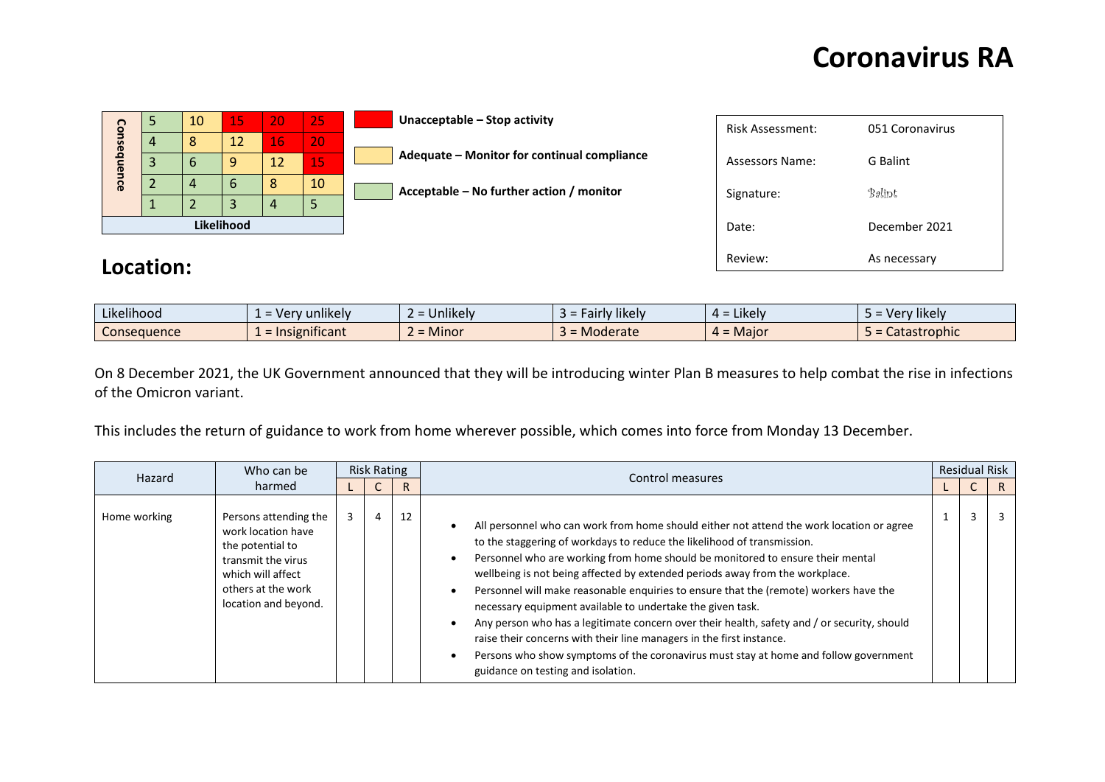Review: As necessary

| င္ပ        |    | 10 <sub>l</sub> | 15 | 20 | 25 <sub>i</sub> | Unacceptable – Stop activity                | <b>Risk Assessment:</b> | 051 Coronavirus |
|------------|----|-----------------|----|----|-----------------|---------------------------------------------|-------------------------|-----------------|
| nseq       | 4  | 8               | 12 | 16 | 207             |                                             |                         |                 |
| ne         | 3  | $\mathbf b$     | 9  | 12 | 15/             | Adequate - Monitor for continual compliance | <b>Assessors Name:</b>  | G Balint        |
| <u>uce</u> |    | 4               | b  | 8  | 10              | Acceptable – No further action / monitor    | Signature:              | Balint          |
|            | л. |                 |    | 4  | 5               |                                             |                         |                 |
| Likelihood |    |                 |    |    |                 |                                             | Date:                   | December 2021   |
|            |    |                 |    |    |                 |                                             |                         |                 |

#### **Location:**

| $\cdots$<br>$\cdots$<br>Likelihood | unlikely<br>verv <b>.</b> | $\cdots$<br><b>Jnlikely</b><br>$\overline{\phantom{0}}$ | <b>likely</b><br>w<br>$\overline{\phantom{0}}$<br>raı | $L$ Kelv<br>∸ ∸ | ' likelv<br>VPT<br>$-$ CI $-$ |
|------------------------------------|---------------------------|---------------------------------------------------------|-------------------------------------------------------|-----------------|-------------------------------|
| Consequence                        | nificant<br><b>ISIED</b>  | $\mathbf{a}$<br>Minor                                   | = Moderate                                            | Major           | Catastrophic                  |

On 8 December 2021, the UK Government announced that they will be introducing winter Plan B measures to help combat the rise in infections of the Omicron variant.

This includes the return of guidance to work from home wherever possible, which comes into force from Monday 13 December.

|              | Who can be                                                                                                                                               | <b>Risk Rating</b> |    | Control measures                                                                                                                                                                                                                                                                                                                                                                                                                                                                                                                                                                                                                                                                                                                                                                                  |  | <b>Residual Risk</b> |    |
|--------------|----------------------------------------------------------------------------------------------------------------------------------------------------------|--------------------|----|---------------------------------------------------------------------------------------------------------------------------------------------------------------------------------------------------------------------------------------------------------------------------------------------------------------------------------------------------------------------------------------------------------------------------------------------------------------------------------------------------------------------------------------------------------------------------------------------------------------------------------------------------------------------------------------------------------------------------------------------------------------------------------------------------|--|----------------------|----|
| Hazard       | harmed                                                                                                                                                   |                    | R  |                                                                                                                                                                                                                                                                                                                                                                                                                                                                                                                                                                                                                                                                                                                                                                                                   |  |                      | R. |
| Home working | Persons attending the<br>work location have<br>the potential to<br>transmit the virus<br>which will affect<br>others at the work<br>location and beyond. | $\overline{4}$     | 12 | All personnel who can work from home should either not attend the work location or agree<br>to the staggering of workdays to reduce the likelihood of transmission.<br>Personnel who are working from home should be monitored to ensure their mental<br>wellbeing is not being affected by extended periods away from the workplace.<br>Personnel will make reasonable enquiries to ensure that the (remote) workers have the<br>necessary equipment available to undertake the given task.<br>Any person who has a legitimate concern over their health, safety and / or security, should<br>raise their concerns with their line managers in the first instance.<br>Persons who show symptoms of the coronavirus must stay at home and follow government<br>guidance on testing and isolation. |  | 3                    |    |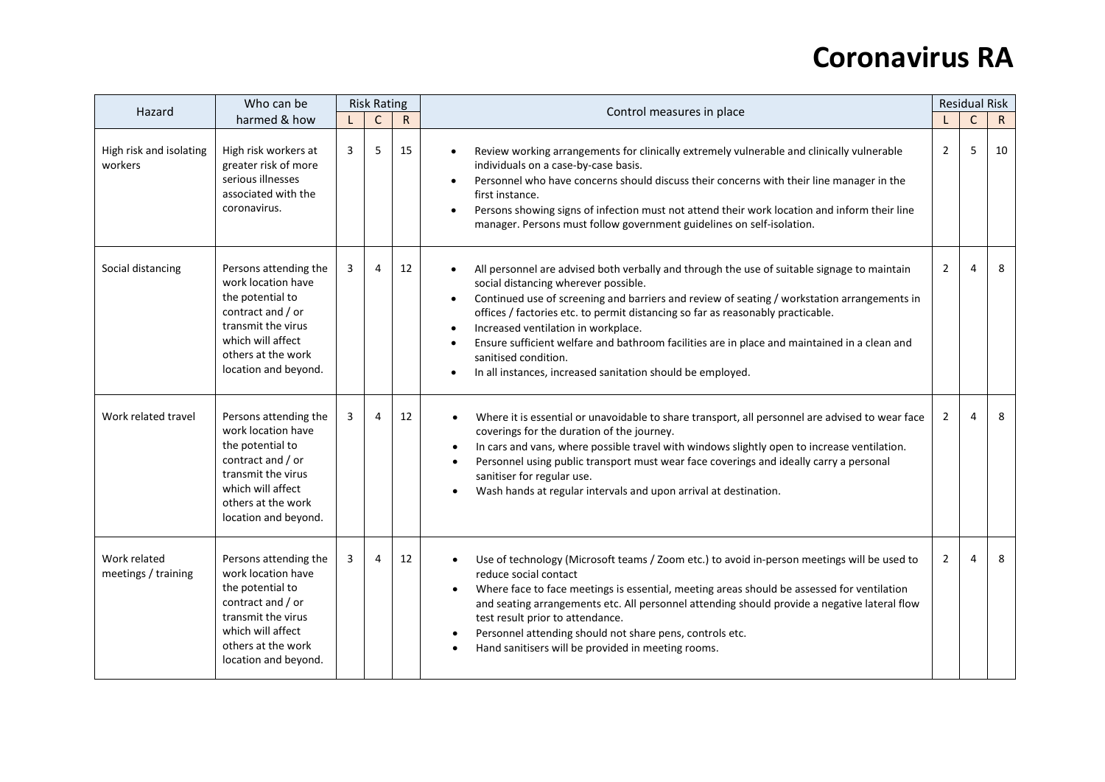| Hazard                              | Who can be                                                                                                                                                                    |              | <b>Risk Rating</b> |             | Control measures in place                                                                                                                                                                                                                                                                                                                                                                                                                                                                                                                                                                                           |                | <b>Residual Risk</b><br>$\mathsf{C}$ |              |  |
|-------------------------------------|-------------------------------------------------------------------------------------------------------------------------------------------------------------------------------|--------------|--------------------|-------------|---------------------------------------------------------------------------------------------------------------------------------------------------------------------------------------------------------------------------------------------------------------------------------------------------------------------------------------------------------------------------------------------------------------------------------------------------------------------------------------------------------------------------------------------------------------------------------------------------------------------|----------------|--------------------------------------|--------------|--|
|                                     | harmed & how                                                                                                                                                                  | $\mathsf{C}$ |                    | $\mathsf R$ |                                                                                                                                                                                                                                                                                                                                                                                                                                                                                                                                                                                                                     |                |                                      | $\mathsf{R}$ |  |
| High risk and isolating<br>workers  | High risk workers at<br>greater risk of more<br>serious illnesses<br>associated with the<br>coronavirus.                                                                      | 3            | 5                  | 15          | Review working arrangements for clinically extremely vulnerable and clinically vulnerable<br>$\bullet$<br>individuals on a case-by-case basis.<br>Personnel who have concerns should discuss their concerns with their line manager in the<br>$\bullet$<br>first instance.<br>Persons showing signs of infection must not attend their work location and inform their line<br>$\bullet$<br>manager. Persons must follow government guidelines on self-isolation.                                                                                                                                                    | $\overline{2}$ | 5                                    | 10           |  |
| Social distancing                   | Persons attending the<br>work location have<br>the potential to<br>contract and / or<br>transmit the virus<br>which will affect<br>others at the work<br>location and beyond. | 3            | 4                  | 12          | All personnel are advised both verbally and through the use of suitable signage to maintain<br>$\bullet$<br>social distancing wherever possible.<br>Continued use of screening and barriers and review of seating / workstation arrangements in<br>$\bullet$<br>offices / factories etc. to permit distancing so far as reasonably practicable.<br>Increased ventilation in workplace.<br>$\bullet$<br>Ensure sufficient welfare and bathroom facilities are in place and maintained in a clean and<br>$\bullet$<br>sanitised condition.<br>In all instances, increased sanitation should be employed.<br>$\bullet$ | $\overline{2}$ | 4                                    | 8            |  |
| Work related travel                 | Persons attending the<br>work location have<br>the potential to<br>contract and / or<br>transmit the virus<br>which will affect<br>others at the work<br>location and beyond. | 3            | 4                  | 12          | Where it is essential or unavoidable to share transport, all personnel are advised to wear face<br>coverings for the duration of the journey.<br>In cars and vans, where possible travel with windows slightly open to increase ventilation.<br>Personnel using public transport must wear face coverings and ideally carry a personal<br>sanitiser for regular use.<br>Wash hands at regular intervals and upon arrival at destination.                                                                                                                                                                            | 2              | 4                                    | 8            |  |
| Work related<br>meetings / training | Persons attending the<br>work location have<br>the potential to<br>contract and / or<br>transmit the virus<br>which will affect<br>others at the work<br>location and beyond. | 3            | 4                  | 12          | Use of technology (Microsoft teams / Zoom etc.) to avoid in-person meetings will be used to<br>reduce social contact<br>Where face to face meetings is essential, meeting areas should be assessed for ventilation<br>and seating arrangements etc. All personnel attending should provide a negative lateral flow<br>test result prior to attendance.<br>Personnel attending should not share pens, controls etc.<br>Hand sanitisers will be provided in meeting rooms.                                                                                                                                            | 2              | 4                                    | 8            |  |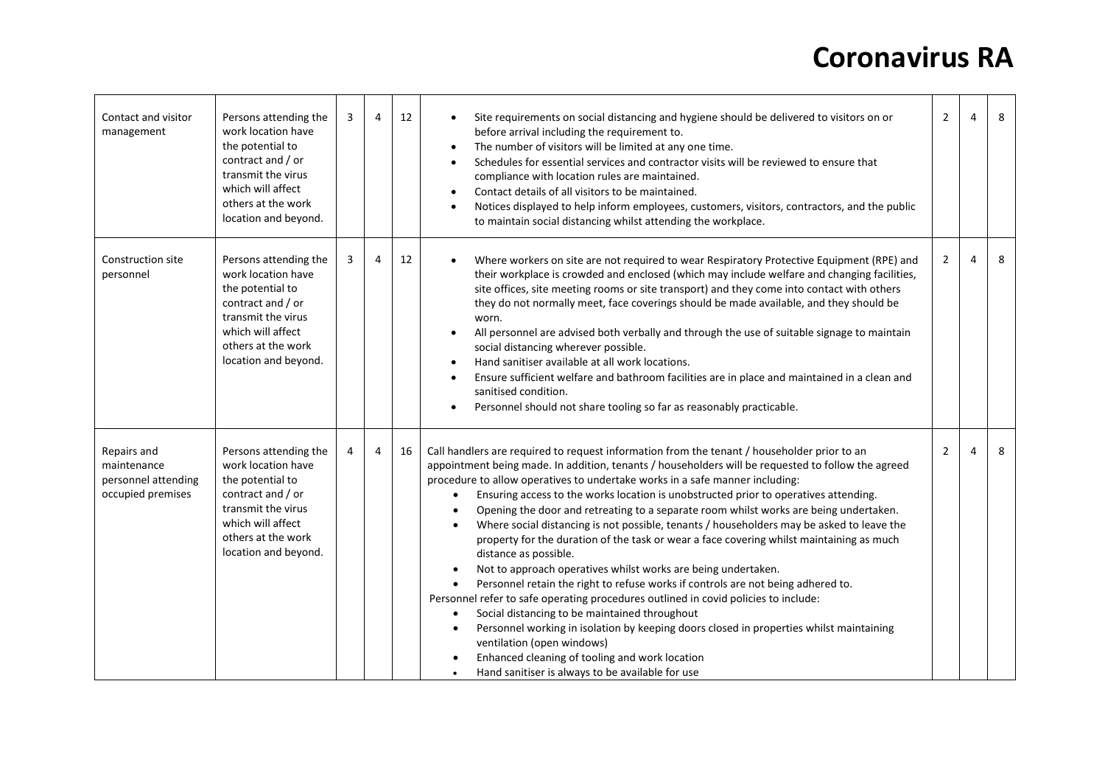| Contact and visitor<br>management                                      | Persons attending the<br>work location have<br>the potential to<br>contract and / or<br>transmit the virus<br>which will affect<br>others at the work<br>location and beyond. | 3 | 4 | 12 | Site requirements on social distancing and hygiene should be delivered to visitors on or<br>before arrival including the requirement to.<br>The number of visitors will be limited at any one time.<br>$\bullet$<br>Schedules for essential services and contractor visits will be reviewed to ensure that<br>$\bullet$<br>compliance with location rules are maintained.<br>Contact details of all visitors to be maintained.<br>Notices displayed to help inform employees, customers, visitors, contractors, and the public<br>$\bullet$<br>to maintain social distancing whilst attending the workplace.                                                                                                                                                                                                                                                                                                                                                                                                                                                                                                                                                                                                                                                         | $\overline{2}$ | 4 | 8 |
|------------------------------------------------------------------------|-------------------------------------------------------------------------------------------------------------------------------------------------------------------------------|---|---|----|----------------------------------------------------------------------------------------------------------------------------------------------------------------------------------------------------------------------------------------------------------------------------------------------------------------------------------------------------------------------------------------------------------------------------------------------------------------------------------------------------------------------------------------------------------------------------------------------------------------------------------------------------------------------------------------------------------------------------------------------------------------------------------------------------------------------------------------------------------------------------------------------------------------------------------------------------------------------------------------------------------------------------------------------------------------------------------------------------------------------------------------------------------------------------------------------------------------------------------------------------------------------|----------------|---|---|
| Construction site<br>personnel                                         | Persons attending the<br>work location have<br>the potential to<br>contract and / or<br>transmit the virus<br>which will affect<br>others at the work<br>location and beyond. | 3 | 4 | 12 | Where workers on site are not required to wear Respiratory Protective Equipment (RPE) and<br>their workplace is crowded and enclosed (which may include welfare and changing facilities,<br>site offices, site meeting rooms or site transport) and they come into contact with others<br>they do not normally meet, face coverings should be made available, and they should be<br>worn.<br>All personnel are advised both verbally and through the use of suitable signage to maintain<br>$\bullet$<br>social distancing wherever possible.<br>Hand sanitiser available at all work locations.<br>$\bullet$<br>Ensure sufficient welfare and bathroom facilities are in place and maintained in a clean and<br>sanitised condition.<br>Personnel should not share tooling so far as reasonably practicable.<br>$\bullet$                                                                                                                                                                                                                                                                                                                                                                                                                                           | $\overline{2}$ | 4 | 8 |
| Repairs and<br>maintenance<br>personnel attending<br>occupied premises | Persons attending the<br>work location have<br>the potential to<br>contract and / or<br>transmit the virus<br>which will affect<br>others at the work<br>location and beyond. | 4 | 4 | 16 | Call handlers are required to request information from the tenant / householder prior to an<br>appointment being made. In addition, tenants / householders will be requested to follow the agreed<br>procedure to allow operatives to undertake works in a safe manner including:<br>Ensuring access to the works location is unobstructed prior to operatives attending.<br>Opening the door and retreating to a separate room whilst works are being undertaken.<br>Where social distancing is not possible, tenants / householders may be asked to leave the<br>property for the duration of the task or wear a face covering whilst maintaining as much<br>distance as possible.<br>Not to approach operatives whilst works are being undertaken.<br>$\bullet$<br>Personnel retain the right to refuse works if controls are not being adhered to.<br>$\bullet$<br>Personnel refer to safe operating procedures outlined in covid policies to include:<br>Social distancing to be maintained throughout<br>$\bullet$<br>Personnel working in isolation by keeping doors closed in properties whilst maintaining<br>ventilation (open windows)<br>Enhanced cleaning of tooling and work location<br>Hand sanitiser is always to be available for use<br>$\bullet$ | $\overline{2}$ | 4 | 8 |